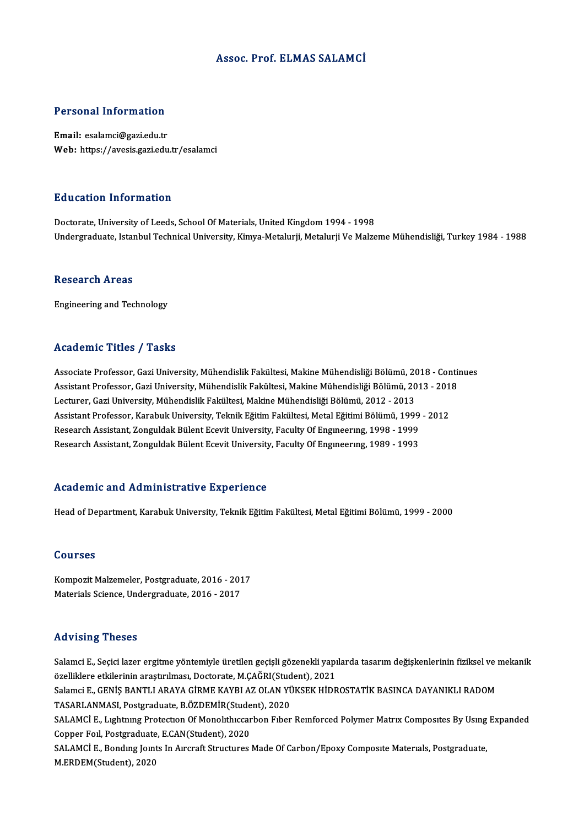#### Assoc. Prof. ELMAS SALAMCİ

#### Personal Information

Email: esalamci@gazi.edu.tr Web: https://avesis.gazi.edu.tr/esalamci

#### Education Information

Doctorate, University of Leeds, School Of Materials, United Kingdom 1994 - 1998 Undergraduate, Istanbul Technical University, Kimya-Metalurji, Metalurji Ve Malzeme Mühendisliği, Turkey 1984 - 1988

#### **Research Areas**

Engineering and Technology

#### Academic Titles / Tasks

Academic Titles / Tasks<br>Associate Professor, Gazi University, Mühendislik Fakültesi, Makine Mühendisliği Bölümü, 2018 - Continues<br>Assistant Professor, Cari University, Mühendislik Fakültesi, Makine Mühendisliği Bölümü, 201 Associate Professor, Gazi University, Mühendislik Fakültesi, Makine Mühendisliği Bölümü, 2018 - Contin<br>Assistant Professor, Gazi University, Mühendislik Fakültesi, Makine Mühendisliği Bölümü, 2013 - 2018<br>Lecturer, Gazi Uni Associate Professor, Gazi University, Mühendislik Fakültesi, Makine Mühendisliği Bölümü, 20<br>Assistant Professor, Gazi University, Mühendislik Fakültesi, Makine Mühendisliği Bölümü, 20<br>Lecturer, Gazi University, Mühendislik Assistant Professor, Gazi University, Mühendislik Fakültesi, Makine Mühendisliği Bölümü, 2013 - 2018<br>Lecturer, Gazi University, Mühendislik Fakültesi, Makine Mühendisliği Bölümü, 2012 - 2013<br>Assistant Professor, Karabuk Un Lecturer, Gazi University, Mühendislik Fakültesi, Makine Mühendisliği Bölümü, 2012 - 2013<br>Assistant Professor, Karabuk University, Teknik Eğitim Fakültesi, Metal Eğitimi Bölümü, 1999<br>Research Assistant, Zonguldak Bülent Ec Research Assistant, Zonguldak Bülent Ecevit University, Faculty Of Engineering, 1989 - 1993

#### Academic and Administrative Experience

Head of Department, Karabuk University, Teknik Eğitim Fakültesi, Metal Eğitimi Bölümü, 1999 - 2000

#### Courses

Kompozit Malzemeler, Postgraduate, 2016 - 2017 Materials Science, Undergraduate, 2016 - 2017

#### Advising Theses

Advising Theses<br>Salamci E., Seçici lazer ergitme yöntemiyle üretilen geçişli gözenekli yapılarda tasarım değişkenlerinin fiziksel ve mekanik<br>Özelliklene etkilerinin erestrulmesu Desterate M.CAČPI(Student), 2021 özel iklere etkilerinin araştırılması, Doctorate, M.ÇAĞRI(Student), 2021<br>özelliklere etkilerinin araştırılması, Doctorate, M.ÇAĞRI(Student), 2021<br>Selamsi E. GENİS RANTU LARAYA GİRME KAYRLAZ OLAN YÜKSEK HİDR Salamci E., Seçici lazer ergitme yöntemiyle üretilen geçişli gözenekli yapılarda tasarım değişkenlerinin fiziksel ve<br>özelliklere etkilerinin araştırılması, Doctorate, M.ÇAĞRI(Student), 2021<br>Salamci E., GENİŞ BANTLI ARAYA G özelliklere etkilerinin araştırılması, Doctorate, M.ÇAĞRI(Student), 2021<br>Salamci E., GENİŞ BANTLI ARAYA GİRME KAYBI AZ OLAN YÜKSEK HİDROSTATİK BASINCA DAYANIKLI RADOM<br>TASARLANMASI, Postgraduate, B.ÖZDEMİR(Student), 2020 Salamci E., GENİŞ BANTLI ARAYA GİRME KAYBI AZ OLAN YÜKSEK HİDROSTATİK BASINCA DAYANIKLI RADOM<br>TASARLANMASI, Postgraduate, B.ÖZDEMİR(Student), 2020<br>SALAMCİ E., Lıghtnıng Protection Of Monolithiccarbon Fiber Reinforced Polym TASARLANMASI, Postgraduate, B.ÖZDEMİR(Stude<br>SALAMCİ E., Lıghtnıng Protection Of Monolithiccar<br>Copper Foil, Postgraduate, E.CAN(Student), 2020<br>SALAMCİ E. Bonding Jointa In Aingraft Strugturea SALAMCİ E., Lıghtnıng Protection Of Monolithiccarbon Fiber Reinforced Polymer Matrix Composites By Using<br>Copper Foil, Postgraduate, E.CAN(Student), 2020<br>SALAMCİ E., Bonding Joints In Aircraft Structures Made Of Carbon/Epox Copper Foil, Postgraduate, E.CAN(Student), 2020<br>SALAMCİ E., Bonding Joints In Aircraft Structures Made Of Carbon/Epoxy Composite Materials, Postgraduate,<br>M.ERDEM(Student), 2020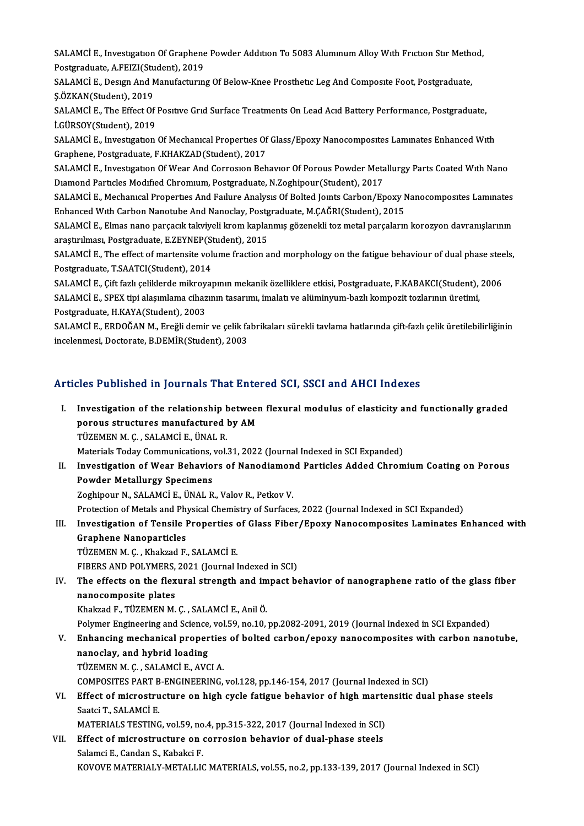SALAMCİ E., Investıgatıon Of Graphene Powder Addıtıon To 5083 Alumınum Alloy Wıth Frıctıon Stır Method,<br>Postanaduata A EEIZI(Student), 2019 SALAMCİ E., Investigation Of Graphene<br>Postgraduate, A.FEIZI(Student), 2019<br>SALAMCİ E. Design And Manufagtunu SALAMCİ E., Investigation Of Graphene Powder Addition To 5083 Aluminum Alloy With Friction Stir Metho<br>Postgraduate, A.FEIZI(Student), 2019<br>SALAMCİ E., Design And Manufacturing Of Below-Knee Prosthetic Leg And Composite Foo

Postgraduate, A.FEIZI(Student), 2019<br>SALAMCİ E., Desıgn And Manufacturıng Of Below-Knee Prosthetic Leg And Composite Foot, Postgraduate,<br>S.ÖZKAN(Student). 2019 SALAMCİ E., Design And Manufacturing Of Below-Knee Prosthetic Leg And Composite Foot, Postgraduate,<br>Ş.ÖZKAN(Student), 2019<br>SALAMCİ E., The Effect Of Positive Grid Surface Treatments On Lead Acid Battery Performance, Postgr

Ş.ÖZKAN(Student), 2019<br>SALAMCİ E., The Effect Of<br>İ.GÜRSOY(Student), 2019<br>SALAMCİ E. Investration SALAMCİ E., The Effect Of Positive Grid Surface Treatments On Lead Acid Battery Performance, Postgraduate,<br>İ.GÜRSOY(Student), 2019<br>SALAMCİ E., Investigation Of Mechanical Properties Of Glass/Epoxy Nanocomposites Laminates

İ.GÜRSOY(Student), 2019<br>SALAMCİ E., Investigation Of Mechanical Properties Of<br>Graphene, Postgraduate, F.KHAKZAD(Student), 2017<br>SALAMCİ E. Investigation Of Wear And Corresion Boh

Graphene, Postgraduate, F.KHAKZAD(Student), 2017<br>SALAMCİ E., Investıgatıon Of Wear And Corrosion Behavior Of Porous Powder Metallurgy Parts Coated With Nano Graphene, Postgraduate, F.KHAKZAD(Student), 2017<br>SALAMCİ E., Investigation Of Wear And Corrosion Behavior Of Porous Powder Meta<br>Diamond Particles Modified Chromium, Postgraduate, N.Zoghipour(Student), 2017<br>SALAMCİ E. Mocha SALAMCİ E., Investigation Of Wear And Corrosion Behavior Of Porous Powder Metallurgy Parts Coated With Nano<br>Diamond Particles Modified Chromium, Postgraduate, N.Zoghipour(Student), 2017<br>SALAMCİ E., Mechanıcal Properties An

Diamond Particles Modified Chromium, Postgraduate, N.Zoghipour(Student), 2017<br>SALAMCİ E., Mechanical Properties And Failure Analysis Of Bolted Joints Carbon/Epoxy N<br>Enhanced With Carbon Nanotube And Nanoclay, Postgraduate, SALAMCİ E., Mechanıcal Properties And Failure Analysis Of Bolted Joints Carbon/Epoxy Nanocomposites Laminates<br>Enhanced With Carbon Nanotube And Nanoclay, Postgraduate, M.ÇAĞRI(Student), 2015<br>SALAMCİ E., Elmas nano parçacık

Enhanced With Carbon Nanotube And Nanoclay, Postg<br>SALAMCİ E., Elmas nano parçacık takviyeli krom kaplaı<br>araştırılması, Postgraduate, E.ZEYNEP(Student), 2015<br>SALAMCİ E. The effect of martaneite volume frastion a SALAMCİ E., Elmas nano parçacık takviyeli krom kaplanmış gözenekli toz metal parçaların korozyon davranışlarının<br>araştırılması, Postgraduate, E.ZEYNEP(Student), 2015<br>SALAMCİ E., The effect of martensite volume fraction and

araştırılması, Postgraduate, E.ZEYNEP(St<br>SALAMCİ E., The effect of martensite vol<br>Postgraduate, T.SAATCI(Student), 2014<br>SALAMCİ E. Cift farlı saliklarda milmayo SALAMCİ E., The effect of martensite volume fraction and morphology on the fatigue behaviour of dual phase stee<br>Postgraduate, T.SAATCI(Student), 2014<br>SALAMCİ E., Çift fazlı çeliklerde mikroyapının mekanik özelliklere etkis

Postgraduate, T.SAATCI(Student), 2014<br>SALAMCİ E., Çift fazlı çeliklerde mikroyapının mekanik özelliklere etkisi, Postgraduate, F.KABAKCI(Student),<br>SALAMCİ E., SPEX tipi alaşımlama cihazının tasarımı, imalatı ve alüminyum-b SALAMCİ E., Çift fazlı çeliklerde mikroy.<br>SALAMCİ E., SPEX tipi alaşımlama cihaz<br>Postgraduate, H.KAYA(Student), 2003<br>SALAMCİ E. EPDOĞAN M. Ereğli demir SALAMCİ E., SPEX tipi alaşımlama cihazının tasarımı, imalatı ve alüminyum-bazlı kompozit tozlarının üretimi,<br>Postgraduate, H.KAYA(Student), 2003<br>SALAMCİ E., ERDOĞAN M., Ereğli demir ve çelik fabrikaları sürekli tavlama hat

Postgraduate, H.KAYA(Student), 2003<br>SALAMCİ E., ERDOĞAN M., Ereğli demir ve çelik fa<br>incelenmesi, Doctorate, B.DEMİR(Student), 2003

# ncelenmesi, Doctorate, B.DEMIR(Student), 2003<br>Articles Published in Journals That Entered SCI, SSCI and AHCI Indexes

rticles Published in Journals That Entered SCI, SSCI and AHCI Indexes<br>I. Investigation of the relationship between flexural modulus of elasticity and functionally graded<br>Pereus structures manufactured by AM Investigation of the relationship between<br>porous structures manufactured by AM<br>TÜZEMEN M.C. SALAMCLE, ÜNAL B Investigation of the relationship h<br>porous structures manufactured |<br>TÜZEMEN M. Ç. , SALAMCİ E., ÜNAL R.<br>Materials Today Communisations vel | porous structures manufactured by AM<br>TÜZEMEN M. Ç. , SALAMCİ E., ÜNAL R.<br>Materials Today Communications, vol.31, 2022 (Journal Indexed in SCI Expanded) TÜZEMEN M. Ç. , SALAMCİ E., ÜNAL R.<br>Materials Today Communications, vol.31, 2022 (Journal Indexed in SCI Expanded)<br>II. Investigation of Wear Behaviors of Nanodiamond Particles Added Chromium Coating on Porous<br>Rowder Me

Materials Today Communications,<br>Investigation of Wear Behavio<br>Powder Metallurgy Specimens<br>Zechinour N. SALAMCLE, ÜNAL P Investigation of Wear Behaviors of Nanodiamon<br>Powder Metallurgy Specimens<br>Zoghipour N., SALAMCİ E., ÜNAL R., Valov R., Petkov V.<br>Pretestion of Metals and Physical Chamistry of Surface Powder Metallurgy Specimens<br>Zoghipour N., SALAMCİ E., ÜNAL R., Valov R., Petkov V.<br>Protection of Metals and Physical Chemistry of Surfaces, 2022 (Journal Indexed in SCI Expanded)

### Zoghipour N., SALAMCİ E., ÜNAL R., Valov R., Petkov V.<br>Protection of Metals and Physical Chemistry of Surfaces, 2022 (Journal Indexed in SCI Expanded)<br>III. Investigation of Tensile Properties of Glass Fiber/Epoxy Nanocompo Protection of Metals and Phy<br>Investigation of Tensile I<br>Graphene Nanoparticles<br>TÜZEMEN M.C. Khalmad E Investigation of Tensile Properties<br>Graphene Nanoparticles<br>TÜZEMEN M. Ç. , Khakzad F., SALAMCİ E.<br>EIBEBS AND BOLYMEBS 2021 (Journal I Graphene Nanoparticles<br>TÜZEMEN M. Ç. , Khakzad F., SALAMCİ E.<br>FIBERS AND POLYMERS, 2021 (Journal Indexed in SCI)

#### IV. The effects on the flexural strength and impact behavior of nanographene ratio of the glass fiber nanocomposite plates

Khakzad F., TÜZEMEN M. Ç., SALAMCİE., Anil Ö.

Polymer Engineering and Science, vol.59, no.10, pp.2082-2091, 2019 (Journal Indexed in SCI Expanded)

## Khakzad F., TÜZEMEN M. Ç. , SALAMCİ E., Anil Ö.<br>Polymer Engineering and Science, vol.59, no.10, pp.2082-2091, 2019 (Journal Indexed in SCI Expanded)<br>V. Enhancing mechanical properties of bolted carbon/epoxy nanocomposi Polymer Engineering and Science<br>Enhancing mechanical proper<br>nanoclay, and hybrid loading<br>TÜZEMEN M.C. SALAMCLE AVC Enhancing mechanical properties<br>nanoclay, and hybrid loading<br>TÜZEMEN M. Ç. , SALAMCİ E., AVCI A.<br>COMPOSITES PAPT P. ENCINEEPINC nanoclay, and hybrid loading<br>TÜZEMEN M. Ç. , SALAMCİ E., AVCI A.<br>COMPOSITES PART B-ENGINEERING, vol.128, pp.146-154, 2017 (Journal Indexed in SCI)<br>Effect of microstructure on high avale fatisue hebevier of high marteneitis

## TÜZEMEN M. Ç. , SALAMCİ E., AVCI A.<br>COMPOSITES PART B-ENGINEERING, vol.128, pp.146-154, 2017 (Journal Indexed in SCI)<br>VI. Effect of microstructure on high cycle fatigue behavior of high martensitic dual phase steels<br>Sectei COMPOSITES PART B<br>Effect of microstru<br>Saatci T., SALAMCİ E.<br>MATEPLAL S TESTINC Effect of microstructure on high cycle fatigue behavior of high marte<br>Saatci T., SALAMCİ E.<br>MATERIALS TESTING, vol.59, no.4, pp.315-322, 2017 (Journal Indexed in SCI)<br>Effect of microstructure on correction behavior of dual

MATERIALS TESTING, vol.59, no.4, pp.315-322, 2017 (Journal Indexed in SCI)

## Saatci T., SALAMCİ E.<br>MATERIALS TESTING, vol.59, no.4, pp.315-322, 2017 (Journal Indexed in SCI)<br>VII. Effect of microstructure on corrosion behavior of dual-phase steels<br>Salamci E., Candan S., Kabakci F. KOVOVE MATERIALY-METALLIC MATERIALS, vol.55, no.2, pp.133-139, 2017 (Journal Indexed in SCI)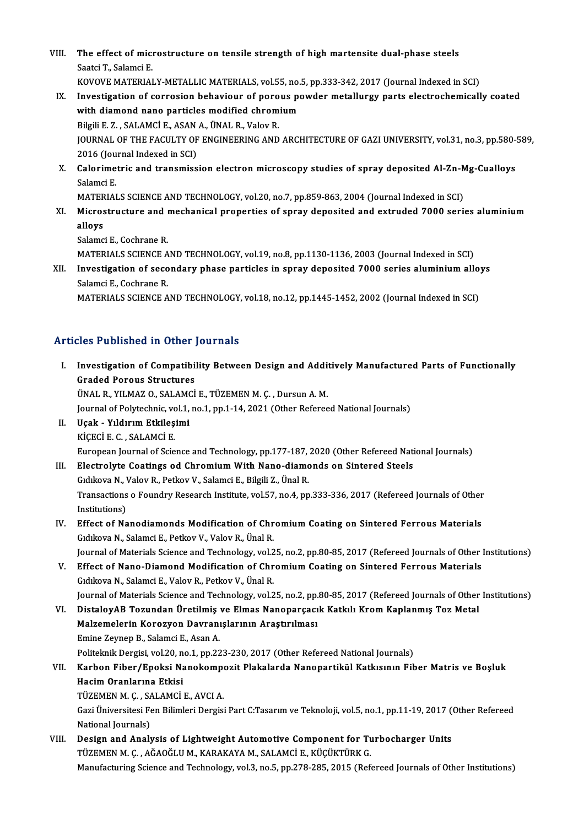VIII. The effect of microstructure on tensile strength of high martensite dual-phase steels<br>Seatei T. Salamei E The effect of mici<br>Saatci T., Salamci E.<br>KOVOVE MATERIAL The effect of microstructure on tensile strength of high martensite dual-phase steels<br>Saatci T., Salamci E.<br>KOVOVE MATERIALY-METALLIC MATERIALS, vol.55, no.5, pp.333-342, 2017 (Journal Indexed in SCI)<br>Investigation of conn Saatci T., Salamci E.<br>IX. Investigation of corrosion behaviour of porous powder metallurgy parts electrochemically coated<br>IX. Investigation of corrosion behaviour of porous powder metallurgy parts electrochemically coated<br>

- KOVOVE MATERIALY-METALLIC MATERIALS, vol.55, no.<br>Investigation of corrosion behaviour of porous po<br>with diamond nano particles modified chromium<br>Pilgili E.Z., SALAMCLE, ASAN A. ÜNAL P. Valov P. Investigation of corrosion behaviour of poro<br>with diamond nano particles modified chrom<br>Bilgili E. Z. , SALAMCİ E., ASAN A., ÜNAL R., Valov R.<br>JOUPMAL OF THE FACULTY OF ENCINEEPINC AND with diamond nano particles modified chromium<br>Bilgili E. Z. , SALAMCİ E., ASAN A., ÜNAL R., Valov R.<br>JOURNAL OF THE FACULTY OF ENGINEERING AND ARCHITECTURE OF GAZI UNIVERSITY, vol.31, no.3, pp.580-589,<br>2016 (Journal Indexe Bilgili E. Z. , SALAMCİ E., ASAN<br>JOURNAL OF THE FACULTY OF<br>2016 (Journal Indexed in SCI)<br>Calarimetris and transmiss JOURNAL OF THE FACULTY OF ENGINEERING AND ARCHITECTURE OF GAZI UNIVERSITY, vol.31, no.3, pp.580-<br>2016 (Journal Indexed in SCI)<br>X. Calorimetric and transmission electron microscopy studies of spray deposited Al-Zn-Mg-Cuallo
- 2016 (Jou<br>Calorime<br>Salamci E.<br>MATERIAI Calorimetric and transmission electron microscopy studies of spray deposited Al-Zn-M<br>Salamci E.<br>MATERIALS SCIENCE AND TECHNOLOGY, vol.20, no.7, pp.859-863, 2004 (Journal Indexed in SCI)<br>Microstructure and mochanisal proper

MATERIALS SCIENCE AND TECHNOLOGY, vol.20, no.7, pp.859-863, 2004 (Journal Indexed in SCI)

Salamci E.<br>MATERIALS SCIENCE AND TECHNOLOGY, vol.20, no.7, pp.859-863, 2004 (Journal Indexed in SCI)<br>XI. Microstructure and mechanical properties of spray deposited and extruded 7000 series aluminium<br>alloys

Salamci E., Cochrane R. alloys<br>Salamci E., Cochrane R.<br>MATERIALS SCIENCE AND TECHNOLOGY, vol.19, no.8, pp.1130-1136, 2003 (Journal Indexed in SCI)<br>Investigation of secondary phase particles in annoy deposited 7000 series aluminium all.

Salamci E., Cochrane R.<br>MATERIALS SCIENCE AND TECHNOLOGY, vol.19, no.8, pp.1130-1136, 2003 (Journal Indexed in SCI)<br>XII. Investigation of secondary phase particles in spray deposited 7000 series aluminium alloys<br>Selemg MATERIALS SCIENCE A<br>Investigation of seco<br>Salamci E., Cochrane R.<br>MATERIALS SCIENCE A Investigation of secondary phase particles in spray deposited 7000 series aluminium allo<sub>.</sub><br>Salamci E., Cochrane R.<br>MATERIALS SCIENCE AND TECHNOLOGY, vol.18, no.12, pp.1445-1452, 2002 (Journal Indexed in SCI)

MATERIALS SCIENCE AND TECHNOLOGY, vol.18, no.12, pp.1445-1452, 2002 (Journal Indexed in SCI)<br>Articles Published in Other Journals

rticles Published in Other Journals<br>I. Investigation of Compatibility Between Design and Additively Manufactured Parts of Functionally<br>Craded Barous Strugtures Investigation of Compatibi<br>Graded Porous Structures<br>UNAL B. VU MAZ O. SALAMCI Investigation of Compatibility Between Design and Addi<br>Graded Porous Structures<br>ÜNAL R., YILMAZ 0., SALAMCİ E., TÜZEMEN M. Ç. , Dursun A. M.<br>Journal of Boktschnis vol.1, no.1, nn.1, 1,4, 2021 (Other Beferes Graded Porous Structures<br>ÜNAL R., YILMAZ O., SALAMCİ E., TÜZEMEN M. Ç. , Dursun A. M.<br>Journal of Polytechnic, vol.1, no.1, pp.1-14, 2021 (Other Refereed National Journals) UNAL R., YILMAZ O., SALAM<br>Journal of Polytechnic, vol.1,<br>II. Uçak - Yıldırım Etkileşimi<br>Viceci E.C. SALAMCİ E Journal of Polytechnic, vo<br>Uçak - Yıldırım Etkileş<br>KİÇECİ E. C. , SALAMCİ E.<br>Euronean Journal of Scie KİÇECİ E. C. , SALAMCİ E.<br>European Journal of Science and Technology, pp.177-187, 2020 (Other Refereed National Journals) KİÇECİ E. C. , SALAMCİ E.<br>European Journal of Science and Technology, pp.177-187, 2020 (Other Refereed National III.<br>III. Electrolyte Coatings od Chromium With Nano-diamonds on Sintered Steels European Journal of Science and Technology, pp.177-187,<br>Electrolyte Coatings od Chromium With Nano-diamc<br>Gidikova N., Valov R., Petkov V., Salamci E., Bilgili Z., Ünal R.<br>Transastians o Foundry Bessarsh Institute vel 57 no Transactions o Foundry Research Institute, vol.57, no.4, pp.333-336, 2017 (Refereed Journals of Other Institutions) Gıdıkova N., Valov R., Petkov V., Salamci E., Bilgili Z., Ünal R. Transactions o Foundry Research Institute, vol.57, no.4, pp.333-336, 2017 (Refereed Journals of Other<br>Institutions)<br>IV. Effect of Nanodiamonds Modification of Chromium Coating on Sintered Ferrous Materials<br>Coditour N. Sela Institutions)<br>Effect of Nanodiamonds Modification of Chr<br>Gıdıkova N., Salamci E., Petkov V., Valov R., Ünal R.<br>Journal of Materials Science and Technology vel 3 Effect of Nanodiamonds Modification of Chromium Coating on Sintered Ferrous Materials<br>Gidikova N., Salamci E., Petkov V., Valov R., Ünal R.<br>Journal of Materials Science and Technology, vol.25, no.2, pp.80-85, 2017 (Referee Gidikova N., Salamci E., Petkov V., Valov R., Ünal R.<br>Journal of Materials Science and Technology, vol.25, no.2, pp.80-85, 2017 (Refereed Journals of Other 1990)<br>V. Effect of Nano-Diamond Modification of Chromium Coating o Journal of Materials Science and Technology, vol.2<br>Effect of Nano-Diamond Modification of Chr<br>Gıdıkova N., Salamci E., Valov R., Petkov V., Ünal R.<br>Journal of Materials Science and Technology vol.2 Effect of Nano-Diamond Modification of Chromium Coating on Sintered Ferrous Materials<br>Gidikova N., Salamci E., Valov R., Petkov V., Ünal R.<br>Journal of Materials Science and Technology, vol.25, no.2, pp.80-85, 2017 (Referee Gıdıkova N., Salamci E., Valov R., Petkov V., Ünal R.<br>Journal of Materials Science and Technology, vol.25, no.2, pp.80-85, 2017 (Refereed Journals of Other<br>VI. DistaloyAB Tozundan Üretilmiş ve Elmas Nanoparçacık Katkılı Kr Journal of Materials Science and Technology, vol.25, no.2, pp.<br>DistaloyAB Tozundan Üretilmiş ve Elmas Nanoparçacı<br>Malzemelerin Korozyon Davranışlarının Araştırılması<br>Emine Zeymon B. Selamçi E. Açen A VI. DistaloyAB Tozundan Üretilmiş ve Elmas Nanoparçacık Katkılı Krom Kaplanmış Toz Metal<br>Malzemelerin Korozyon Davranışlarının Araştırılması<br>Emine Zeynep B., Salamci E., Asan A. Malzemelerin Korozyon Davranışlarının Araştırılması<br>Emine Zeynep B., Salamci E., Asan A.<br>Politeknik Dergisi, vol.20, no.1, pp.223-230, 2017 (Other Refereed National Journals)<br>Karbon Eiber (Eneksi Nanekomposit Plakalarda Na VII. Karbon Fiber/Epoksi Nanokompozit Plakalarda Nanopartikül Katkısının Fiber Matris ve Boşluk<br>Hacim Oranlarına Etkisi Politeknik Dergisi, vol.20, n<br>Karbon Fiber/Epoksi Na<br>Hacim Oranlarına Etkisi<br>TüzeMEN M.C., SALAMCİ Karbon Fiber/Epoksi Nanokompe<br>Hacim Oranlarına Etkisi<br>TÜZEMEN M.Ç. , SALAMCİ E., AVCI A.<br>Cari Üniversitesi Fen Bilimleri Dersisi Gazi Üniversitesi Fen Bilimleri Dergisi Part C:Tasarım ve Teknoloji, vol.5, no.1, pp.11-19, 2017 (Other Refereed<br>National Journals) TÜZEMEN M. Ç. , SA<br>Gazi Üniversitesi Fe<br>National Journals)<br>Dosian and Anali Gazi Üniversitesi Fen Bilimleri Dergisi Part C:Tasarım ve Teknoloji, vol.5, no.1, pp.11-19, 2017 (<br>National Journals)<br>VIII. Design and Analysis of Lightweight Automotive Component for Turbocharger Units<br>TUZEMEN M.C. AČAOČL National Journals)<br>Design and Analysis of Lightweight Automotive Component for Tu<br>TÜZEMEN M. Ç. , AĞAOĞLU M., KARAKAYA M., SALAMCİ E., KÜÇÜKTÜRK G.<br>Manufasturing Sejanga and Technologu val 3, no 5, nn 279, 295, 2015 (Dof TÜZEMEN M. Ç. , AĞAOĞLU M., KARAKAYA M., SALAMCİ E., KÜÇÜKTÜRK G.<br>Manufacturing Science and Technology, vol.3, no.5, pp.278-285, 2015 (Refereed Journals of Other Institutions)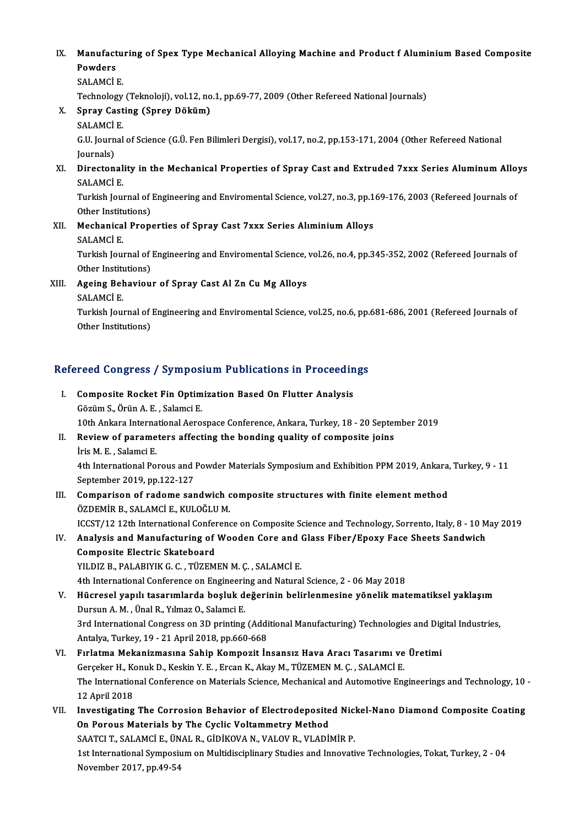IX. Manufacturing of Spex Type Mechanical Alloying Machine and Product f Aluminium Based Composite<br>Rowders Manufact<br>Powders<br>SALAMCU Manufactu<br>Powders<br>SALAMCİ E.<br>Technologu Powders<br>SALAMCİ E.<br>Technology (Teknoloji), vol.12, no.1, pp.69-77, 2009 (Other Refereed National Journals)

- SALAMCİ E.<br>Technology (Teknoloji), vol.12, no<br>X. Spray Casting (Sprey Döküm)<br>SALAMCİ E Technology<br>S<mark>pray Cast</mark><br>SALAMCİ E.<br>C.U. Journal
	-

Spray Casting (Sprey Döküm)<br>SALAMCİ E.<br>G.U. Journal of Science (G.Ü. Fen Bilimleri Dergisi), vol.17, no.2, pp.153-171, 2004 (Other Refereed National SALAMCI<br>G.U. Journ<br>Journals)<br>Director G.U. Journal of Science (G.Ü. Fen Bilimleri Dergisi), vol.17, no.2, pp.153-171, 2004 (Other Refereed National<br>Journals)<br>XI. Directonality in the Mechanical Properties of Spray Cast and Extruded 7xxx Series Aluminum Alloys<br>

Journals)<br><mark>Directonal</mark><br>SALAMCİ E.<br>Turkish Jou Directonality in the Mechanical Properties of Spray Cast and Extruded 7xxx Series Aluminum Allo<br>SALAMCİ E.<br>Turkish Journal of Engineering and Enviromental Science, vol.27, no.3, pp.169-176, 2003 (Refereed Journals of<br>Other

SALAMCİ E.<br>Turkish Journal of 1<br>Other Institutions)<br>Mechanisal Bran Turkish Journal of Engineering and Enviromental Science, vol.27, no.3, pp.1<br>Other Institutions)<br>XII. Mechanical Properties of Spray Cast 7xxx Series Alıminium Alloys<br>SALAMCLE

## Other Institutions)<br>Mechanical Properties of Spray Cast 7xxx Series Alıminium Alloys<br>SALAMCİ E. Mechanical Properties of Spray Cast 7xxx Series Alıminium Alloys<br>SALAMCİ E.<br>Turkish Journal of Engineering and Enviromental Science, vol.26, no.4, pp.345-352, 2002 (Refereed Journals of<br>Other Institutione)

SALAMCİ E.<br>Turkish Journal of 1<br>Other Institutions)<br>Ageing Beheview Turkish Journal of Engineering and Enviromental Science,<br>Other Institutions)<br>XIII. Ageing Behaviour of Spray Cast Al Zn Cu Mg Alloys<br>SALAMCLE

## Other Institute<br>Ageing Bel<br>SALAMCİ E.<br>Turkish Lov

Ageing Behaviour of Spray Cast Al Zn Cu Mg Alloys<br>SALAMCİ E.<br>Turkish Journal of Engineering and Enviromental Science, vol.25, no.6, pp.681-686, 2001 (Refereed Journals of SALAMCİ E.<br>Turkish Journal of I<br>Other Institutions)

# omer msututions)<br>Refereed Congress / Symposium Publications in Proceedings

- efereed Congress / Symposium Publications in Proceedin<br>I. Composite Rocket Fin Optimization Based On Flutter Analysis<br>Cözüm S. Örün A. E. Selamsi E. I. Composite Rocket Fin Optimization Based On Flutter Analysis Gözüm S., Örün A. E., Salamci E. Composite Rocket Fin Optimization Based On Flutter Analysis<br>Gözüm S., Örün A. E. , Salamci E.<br>10th Ankara International Aerospace Conference, Ankara, Turkey, 18 - 20 September 2019<br>Boview of naramatars affecting the bondin Gözüm S., Örün A. E. , Salamci E.<br>10th Ankara International Aerospace Conference, Ankara, Turkey, 18 - 20 Septer<br>II. Review of parameters affecting the bonding quality of composite joins<br><sup>11</sup><sup>ic</sup> M. E. Salamci E. 10th Ankara Interna<br>**Review of parame**<br>İris M. E. , Salamci E.<br><sup>4th International Bo</sup>
	-

Review of parameters affecting the bonding quality of composite joins<br>Iris M. E. , Salamci E.<br>4th International Porous and Powder Materials Symposium and Exhibition PPM 2019, Ankara, Turkey, 9 - 11<br>September 2019, pp.122.1 iris M. E. , Salamci E.<br>4th International Porous and l<br>September 2019, pp.122-127<br>Companison of radome ser 4th International Porous and Powder Materials Symposium and Exhibition PPM 2019, Ankara,<br>September 2019, pp.122-127<br>III. Comparison of radome sandwich composite structures with finite element method<br>ÖZDEMİR R. SALAMCİ E. K

## September 2019, pp.122-127<br>III. Comparison of radome sandwich composite structures with finite element method ÖZDEMİR B., SALAMCİ E., KULOĞLUM. Comparison of radome sandwich composite structures with finite element method<br>ÖZDEMİR B., SALAMCİ E., KULOĞLU M.<br>ICCST/12 12th International Conference on Composite Science and Technology, Sorrento, Italy, 8 - 10 May 2019<br>

ÖZDEMİR B., SALAMCİ E., KULOĞLU M.<br>ICCST/12 12th International Conference on Composite Science and Technology, Sorrento, Italy, 8 - 10 M<br>IV. Analysis and Manufacturing of Wooden Core and Glass Fiber/Epoxy Face Sheets Sandw ICCST/12 12th International Confer<br>Analysis and Manufacturing of<br>Composite Electric Skateboard<br>VU DIZ B BALABIVIK G G TÜZEM Analysis and Manufacturing of Wooden Core and (<br>Composite Electric Skateboard<br>YILDIZ B., PALABIYIK G. C. , TÜZEMEN M. Ç. , SALAMCİ E.<br>4th International Conference on Engineering and Natural 6 Composite Electric Skateboard<br>1997 - YILDIZ B., PALABIYIK G. C. , TÜZEMEN M. Ç. , SALAMCİ E.<br>1998 - Ath International Conference on Engineering and Natural Science, 2 - 06 May 2018

- YILDIZ B., PALABIYIK G. C. , TÜZEMEN M. Ç. , SALAMCİ E.<br>4th International Conference on Engineering and Natural Science, 2 06 May 2018<br>7. Hücresel yapılı tasarımlarda boşluk değerinin belirlenmesine yönelik matematiksel 4th International Conference on Engineeri<br>Hücresel yapılı tasarımlarda boşluk d<br>Dursun A. M. , Ünal R., Yılmaz O., Salamci E.<br><sup>2nd</sup> International Congress on 2D printing Hücresel yapılı tasarımlarda boşluk değerinin belirlenmesine yönelik matematiksel yaklaşım<br>Dursun A. M. , Ünal R., Yılmaz O., Salamci E.<br>3rd International Congress on 3D printing (Additional Manufacturing) Technologies and Dursun A. M. , Ünal R., Yılmaz O., Salamci E.<br>3rd International Congress on 3D printing (Additional Manufacturing) Technologies and Digital Industries,<br>Antalya, Turkey, 19 - 21 April 2018, pp.660-668
- VI. FırlatmaMekanizmasına Sahip Kompozit İnsansız Hava Aracı Tasarımı ve Üretimi Antalya, Turkey, 19 - 21 April 2018, pp.660-668<br>Fırlatma Mekanizmasına Sahip Kompozit İnsansız Hava Aracı Tasarımı ve<br>Gerçeker H., Konuk D., Keskin Y. E. , Ercan K., Akay M., TÜZEMEN M. Ç. , SALAMCİ E.<br>The International Co Fırlatma Mekanizmasına Sahip Kompozit İnsansız Hava Aracı Tasarımı ve Üretimi<br>Gerçeker H., Konuk D., Keskin Y. E. , Ercan K., Akay M., TÜZEMEN M. Ç. , SALAMCİ E.<br>The International Conference on Materials Science, Mechanica Gerçeker H., Ko<br>The Internation<br>12 April 2018<br>Investigating The International Conference on Materials Science, Mechanical and Automotive Engineerings and Technology, 10<br>12 April 2018<br>VII. Investigating The Corrosion Behavior of Electrodeposited Nickel-Nano Diamond Composite Coating
- 12 April 2018<br>VII. Investigating The Corrosion Behavior of Electrodeposited Nickel-Nano Diamond Composite Coating<br>On Porous Materials by The Cyclic Voltammetry Method Investigating The Corrosion Behavior of Electrodeposited Nic<mark>.</mark><br>On Porous Materials by The Cyclic Voltammetry Method<br>SAATCI T., SALAMCİ E., ÜNAL R., GİDİKOVA N., VALOV R., VLADİMİR P.<br>1st International Sumpesium on Multidi 1st International Symposium on Multidisciplinary Studies and Innovative Technologies, Tokat, Turkey, 2 - 04<br>November 2017, pp.49-54 SAATCI T., SALAMCİ E., ÜN<br>1st International Symposiı<br>November 2017, pp.49-54